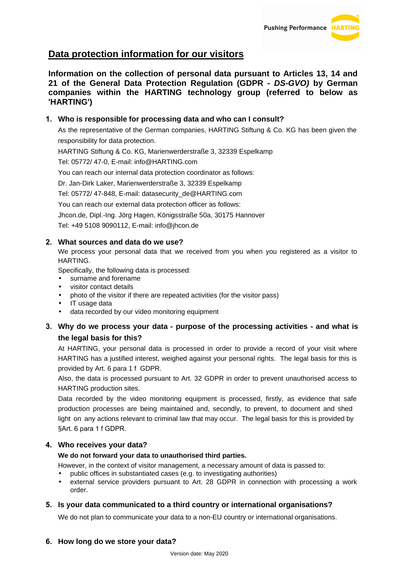# **Data protection information for our visitors**

**Information on the collection of personal data pursuant to Articles 13, 14 and 21 of the General Data Protection Regulation (GDPR - DS-GVO) by German companies within the HARTING technology group (referred to below as 'HARTING')** 

# **1. Who is responsible for processing data and who can I consult?**

As the representative of the German companies, HARTING Stiftung & Co. KG has been given the responsibility for data protection.

HARTING Stiftung & Co. KG, Marienwerderstraße 3, 32339 Espelkamp

Tel: 05772/ 47-0, E-mail: info@HARTING.com

You can reach our internal data protection coordinator as follows:

Dr. Jan-Dirk Laker, Marienwerderstraße 3, 32339 Espelkamp

Tel: 05772/ 47-848, E-mail: datasecurity\_de@HARTING.com

You can reach our external data protection officer as follows:

Jhcon.de, Dipl.-Ing. Jörg Hagen, Königsstraße 50a, 30175 Hannover

Tel: +49 5108 9090112, E-mail: info@jhcon.de

# **2. What sources and data do we use?**

We process your personal data that we received from you when you registered as a visitor to HARTING.

Specifically, the following data is processed:

- surname and forename
- visitor contact details
- photo of the visitor if there are repeated activities (for the visitor pass)
- IT usage data
- data recorded by our video monitoring equipment

# **3. Why do we process your data - purpose of the processing activities - and what is the legal basis for this?**

At HARTING, your personal data is processed in order to provide a record of your visit where HARTING has a justified interest, weighed against your personal rights. The legal basis for this is provided by Art. 6 para 1 f GDPR.

Also, the data is processed pursuant to Art. 32 GDPR in order to prevent unauthorised access to HARTING production sites.

Data recorded by the video monitoring equipment is processed, firstly, as evidence that safe production processes are being maintained and, secondly, to prevent, to document and shed light on any actions relevant to criminal law that may occur. The legal basis for this is provided by §Art. 6 para 1 f GDPR.

# **4. Who receives your data?**

#### **We do not forward your data to unauthorised third parties.**

However, in the context of visitor management, a necessary amount of data is passed to:

- public offices in substantiated cases (e.g. to investigating authorities)
- external service providers pursuant to Art. 28 GDPR in connection with processing a work order.

# **5. Is your data communicated to a third country or international organisations?**

We do not plan to communicate your data to a non-EU country or international organisations.

# **6. How long do we store your data?**